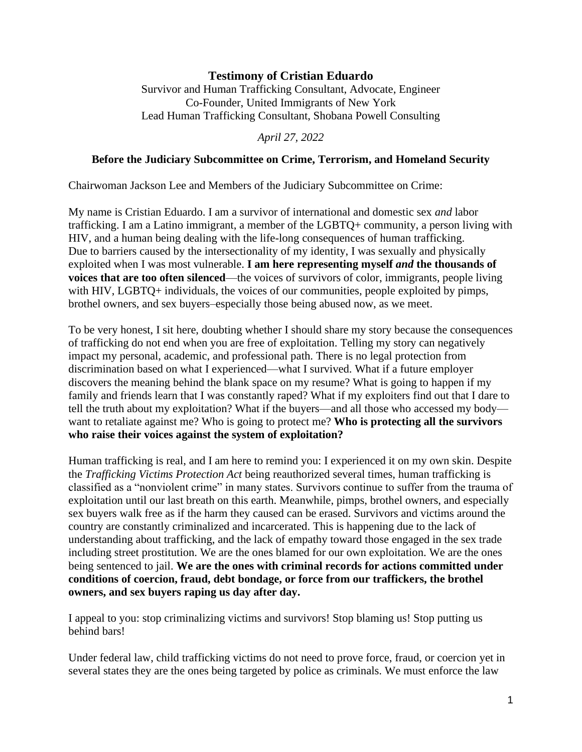## **Testimony of Cristian Eduardo**

Survivor and Human Trafficking Consultant, Advocate, Engineer Co-Founder, United Immigrants of New York Lead Human Trafficking Consultant, Shobana Powell Consulting

*April 27, 2022*

## **Before the Judiciary Subcommittee on Crime, Terrorism, and Homeland Security**

Chairwoman Jackson Lee and Members of the Judiciary Subcommittee on Crime:

My name is Cristian Eduardo. I am a survivor of international and domestic sex *and* labor trafficking. I am a Latino immigrant, a member of the LGBTQ+ community, a person living with HIV, and a human being dealing with the life-long consequences of human trafficking. Due to barriers caused by the intersectionality of my identity, I was sexually and physically exploited when I was most vulnerable. **I am here representing myself** *and* **the thousands of voices that are too often silenced**—the voices of survivors of color, immigrants, people living with HIV, LGBTQ+ individuals, the voices of our communities, people exploited by pimps, brothel owners, and sex buyers–especially those being abused now, as we meet.

To be very honest, I sit here, doubting whether I should share my story because the consequences of trafficking do not end when you are free of exploitation. Telling my story can negatively impact my personal, academic, and professional path. There is no legal protection from discrimination based on what I experienced—what I survived. What if a future employer discovers the meaning behind the blank space on my resume? What is going to happen if my family and friends learn that I was constantly raped? What if my exploiters find out that I dare to tell the truth about my exploitation? What if the buyers—and all those who accessed my body want to retaliate against me? Who is going to protect me? **Who is protecting all the survivors who raise their voices against the system of exploitation?** 

Human trafficking is real, and I am here to remind you: I experienced it on my own skin. Despite the *Trafficking Victims Protection Act* being reauthorized several times, human trafficking is classified as a "nonviolent crime" in many states. Survivors continue to suffer from the trauma of exploitation until our last breath on this earth. Meanwhile, pimps, brothel owners, and especially sex buyers walk free as if the harm they caused can be erased. Survivors and victims around the country are constantly criminalized and incarcerated. This is happening due to the lack of understanding about trafficking, and the lack of empathy toward those engaged in the sex trade including street prostitution. We are the ones blamed for our own exploitation. We are the ones being sentenced to jail. **We are the ones with criminal records for actions committed under conditions of coercion, fraud, debt bondage, or force from our traffickers, the brothel owners, and sex buyers raping us day after day.** 

I appeal to you: stop criminalizing victims and survivors! Stop blaming us! Stop putting us behind bars!

Under federal law, child trafficking victims do not need to prove force, fraud, or coercion yet in several states they are the ones being targeted by police as criminals. We must enforce the law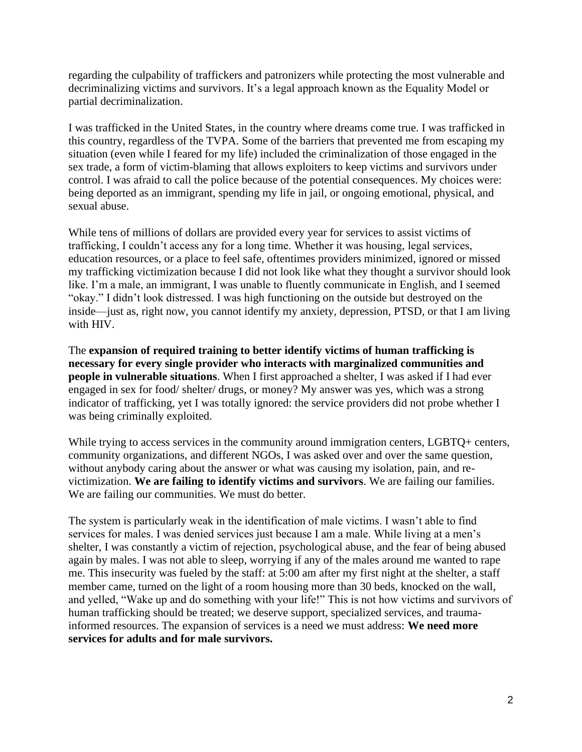regarding the culpability of traffickers and patronizers while protecting the most vulnerable and decriminalizing victims and survivors. It's a legal approach known as the Equality Model or partial decriminalization.

I was trafficked in the United States, in the country where dreams come true. I was trafficked in this country, regardless of the TVPA. Some of the barriers that prevented me from escaping my situation (even while I feared for my life) included the criminalization of those engaged in the sex trade, a form of victim-blaming that allows exploiters to keep victims and survivors under control. I was afraid to call the police because of the potential consequences. My choices were: being deported as an immigrant, spending my life in jail, or ongoing emotional, physical, and sexual abuse.

While tens of millions of dollars are provided every year for services to assist victims of trafficking, I couldn't access any for a long time. Whether it was housing, legal services, education resources, or a place to feel safe, oftentimes providers minimized, ignored or missed my trafficking victimization because I did not look like what they thought a survivor should look like. I'm a male, an immigrant, I was unable to fluently communicate in English, and I seemed "okay." I didn't look distressed. I was high functioning on the outside but destroyed on the inside—just as, right now, you cannot identify my anxiety, depression, PTSD, or that I am living with HIV.

The **expansion of required training to better identify victims of human trafficking is necessary for every single provider who interacts with marginalized communities and people in vulnerable situations**. When I first approached a shelter, I was asked if I had ever engaged in sex for food/ shelter/ drugs, or money? My answer was yes, which was a strong indicator of trafficking, yet I was totally ignored: the service providers did not probe whether I was being criminally exploited.

While trying to access services in the community around immigration centers, LGBTQ+ centers, community organizations, and different NGOs, I was asked over and over the same question, without anybody caring about the answer or what was causing my isolation, pain, and revictimization. **We are failing to identify victims and survivors**. We are failing our families. We are failing our communities. We must do better.

The system is particularly weak in the identification of male victims. I wasn't able to find services for males. I was denied services just because I am a male. While living at a men's shelter, I was constantly a victim of rejection, psychological abuse, and the fear of being abused again by males. I was not able to sleep, worrying if any of the males around me wanted to rape me. This insecurity was fueled by the staff: at 5:00 am after my first night at the shelter, a staff member came, turned on the light of a room housing more than 30 beds, knocked on the wall, and yelled, "Wake up and do something with your life!" This is not how victims and survivors of human trafficking should be treated; we deserve support, specialized services, and traumainformed resources. The expansion of services is a need we must address: **We need more services for adults and for male survivors.**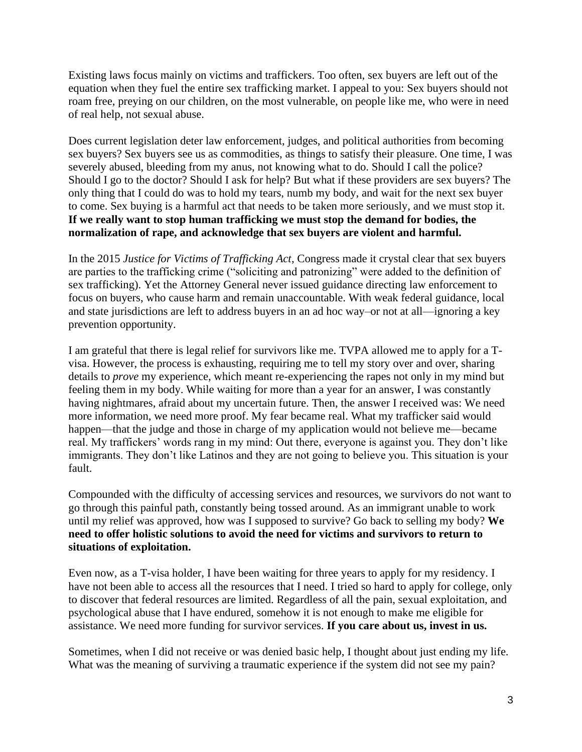Existing laws focus mainly on victims and traffickers. Too often, sex buyers are left out of the equation when they fuel the entire sex trafficking market. I appeal to you: Sex buyers should not roam free, preying on our children, on the most vulnerable, on people like me, who were in need of real help, not sexual abuse.

Does current legislation deter law enforcement, judges, and political authorities from becoming sex buyers? Sex buyers see us as commodities, as things to satisfy their pleasure. One time, I was severely abused, bleeding from my anus, not knowing what to do. Should I call the police? Should I go to the doctor? Should I ask for help? But what if these providers are sex buyers? The only thing that I could do was to hold my tears, numb my body, and wait for the next sex buyer to come. Sex buying is a harmful act that needs to be taken more seriously, and we must stop it. **If we really want to stop human trafficking we must stop the demand for bodies, the normalization of rape, and acknowledge that sex buyers are violent and harmful.** 

In the 2015 *Justice for Victims of Trafficking Act*, Congress made it crystal clear that sex buyers are parties to the trafficking crime ("soliciting and patronizing" were added to the definition of sex trafficking). Yet the Attorney General never issued guidance directing law enforcement to focus on buyers, who cause harm and remain unaccountable. With weak federal guidance, local and state jurisdictions are left to address buyers in an ad hoc way–or not at all—ignoring a key prevention opportunity.

I am grateful that there is legal relief for survivors like me. TVPA allowed me to apply for a Tvisa. However, the process is exhausting, requiring me to tell my story over and over, sharing details to *prove* my experience, which meant re-experiencing the rapes not only in my mind but feeling them in my body. While waiting for more than a year for an answer, I was constantly having nightmares, afraid about my uncertain future. Then, the answer I received was: We need more information, we need more proof. My fear became real. What my trafficker said would happen—that the judge and those in charge of my application would not believe me—became real. My traffickers' words rang in my mind: Out there, everyone is against you. They don't like immigrants. They don't like Latinos and they are not going to believe you. This situation is your fault.

Compounded with the difficulty of accessing services and resources, we survivors do not want to go through this painful path, constantly being tossed around. As an immigrant unable to work until my relief was approved, how was I supposed to survive? Go back to selling my body? **We need to offer holistic solutions to avoid the need for victims and survivors to return to situations of exploitation.** 

Even now, as a T-visa holder, I have been waiting for three years to apply for my residency. I have not been able to access all the resources that I need. I tried so hard to apply for college, only to discover that federal resources are limited. Regardless of all the pain, sexual exploitation, and psychological abuse that I have endured, somehow it is not enough to make me eligible for assistance. We need more funding for survivor services. **If you care about us, invest in us.**

Sometimes, when I did not receive or was denied basic help, I thought about just ending my life. What was the meaning of surviving a traumatic experience if the system did not see my pain?